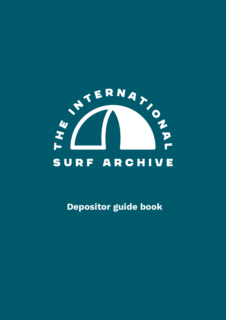

Depositor guide book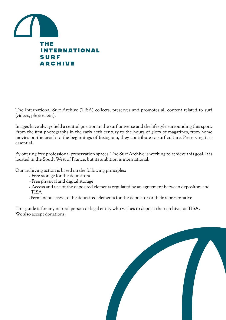

The International Surf Archive (TISA) collects, preserves and promotes all content related to surf (videos, photos, etc.).

Images have always held a central position in the surf universe and the lifestyle surrounding this sport. From the first photographs in the early 20th century to the hours of glory of magazines, from home movies on the beach to the beginnings of Instagram, they contribute to surf culture. Preserving it is essential.

By offering free professional preservation spaces, The Surf Archive is working to achieve this goal. It is located in the South West of France, but its ambition is international.

Our archiving action is based on the following principles:

- Free storage for the depositors
- Free physical and digital storage
- Access and use of the deposited elements regulated by an agreement between depositors and TISA
- -Permanent access to the deposited elements for the depositor or their representative

This guide is for any natural person or legal entity who wishes to deposit their archives at TISA. We also accept donations.

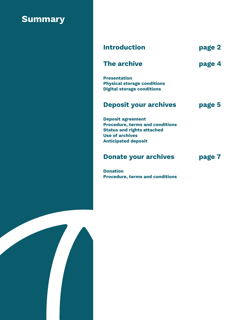# **Summary**

| <b>Introduction</b>                                                                                                                                             | page 2 |
|-----------------------------------------------------------------------------------------------------------------------------------------------------------------|--------|
| <b>The archive</b>                                                                                                                                              | page 4 |
| <b>Presentation</b><br><b>Physical storage conditions</b><br><b>Digital storage conditions</b>                                                                  |        |
| <b>Deposit your archives</b>                                                                                                                                    | page 5 |
| <b>Deposit agreement</b><br><b>Procedure, terms and conditions</b><br><b>Status and rights attached</b><br><b>Use of archives</b><br><b>Anticipated deposit</b> |        |
| <b>Donate your archives</b>                                                                                                                                     | page 7 |
| <b>Donation</b>                                                                                                                                                 |        |

Procedure, terms and conditions

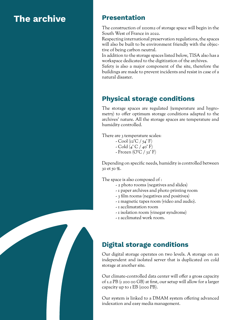# The archive

#### Presentation

The construction of 1100m2 of storage space will begin in the South West of France in 2022.

Respecting international preservation regulations, the spaces will also be built to be environment friendly with the objective of being carbon neutral.

In addition to the storage spaces listed below, TISA also has a workspace dedicated to the digitization of the archives.

Safety is also a major component of the site, therefore the buildings are made to prevent incidents and resist in case of a natural disaster.

## Physical storage conditions

The storage spaces are regulated (temperature and hygrometry) to offer optimum storage conditions adapted to the archives' nature. All the storage spaces are temperature and humidity controlled.

There are 3 temperature scales:

- Cool (12°C / 54°F)
- $-Cold (4° C / 40° F)$
- Frozen ( $O^{\circ}C / 32^{\circ} F$ )

Depending on specific needs, humidity is controlled between 30 et 50 %.

The space is also composed of :

- 2 photo rooms (negatives and slides)
- 1 paper archives and photo printing room
- 3 film rooms (negatives and positives)
- 1 magnetic tapes room (video and audio).
- 1 acclimatation room
- 1 isolation room (vinegar syndrome)
- 1 acclimated work room.

## Digital storage conditions

Our digital storage operates on two levels. A storage on an independent and isolated server that is duplicated on cold storage at another site.

Our climate-controlled data center will offer a gross capacity of 1.2 PB (1 200 00 GB) at first, our setup will allow for a larger capacity up to  $I$  EB (1000 PB).

Our system is linked to a DMAM system offering advanced indexation and easy media management.

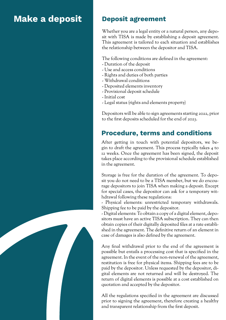## Make a deposit

#### Deposit agreement

Whether you are a legal entity or a natural person, any deposit with TISA is made by establishing a deposit agreement. This agreement is tailored to each situation and establishes the relationship between the depositor and TISA.

The following conditions are defined in the agreement:

- Duration of the deposit
- Use and access conditions
- Rights and duties of both parties
- Withdrawal conditions
- Deposited elements inventory
- Provisional deposit schedule
- Initial cost
- Legal status (rights and elements property)

Depositors will be able to sign agreements starting 2022, prior to the first deposits scheduled for the end of 2023.

### Procedure, terms and conditions

After getting in touch with potential depositors, we begin to draft the agreement. This process typically takes 4 to 12 weeks. Once the agreement has been signed, the deposit takes place according to the provisional schedule established in the agreement.

Storage is free for the duration of the agreement. To deposit you do not need to be a TISA member, but we do encourage depositors to join TISA when making a deposit. Except for special cases, the depositor can ask for a temporary withdrawal following these regulations:

- Physical elements: unrestricted temporary withdrawals. Shipping fee to be paid by the depositor.

- Digital elements: To obtain a copy of a digital element, depositors must have an active TISA subscription. They can then obtain copies of their digitally deposited files at a rate established in the agreement. The definitive return of an element in case of damages is also defined by the agreement.

Any final withdrawal prior to the end of the agreement is possible but entails a processing cost that is specified in the agreement. In the event of the non-renewal of the agreement, restitution is free for physical items. Shipping fees are to be paid by the depositor. Unless requested by the depositor, digital elements are not returned and will be destroyed. The return of digital elements is possible at a cost established on quotation and accepted by the depositor.

All the regulations specified in the agreement are discussed prior to signing the agreement, therefore creating a healthy and transparent relationship from the first deposit.

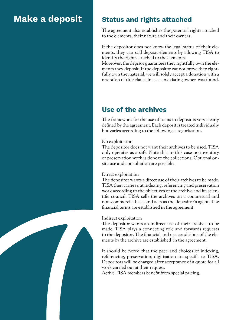## Make a deposit

### Status and rights attached

The agreement also establishes the potential rights attached to the elements, their nature and their owners.

If the depositor does not know the legal status of their elements, they can still deposit elements by allowing TISA to identify the rights attached to the elements.

Moreover, the depisor guarantees they rightfully own the elements they deposit. If the depositor cannot prove they rightfully own the material, we will solely accept a donation with a retention of title clause in case an existing owner was found.

## Use of the archives

The framework for the use of items in deposit is very clearly defined by the agreement. Each deposit is treated individually but varies according to the following categorization.

#### No exploitation

The depositor does not want their archives to be used. TISA only operates as a safe. Note that in this case no inventory or preservation work is done to the collections. Optional onsite use and consultation are possible.

#### Direct exploitation

The depositor wants a direct use of their archives to be made. TISA then carries out indexing, referencing and preservation work according to the objectives of the archive and its scientific council. TISA sells the archives on a commercial and non-commercial basis and acts as the depositor's agent. The financial terms are established in the agreement.

#### Indirect exploitation

The depositor wants an indirect use of their archives to be made. TISA plays a connecting role and forwards requests to the depositor. The financial and use conditions of the elements by the archive are established in the agreement.

It should be noted that the pace and choices of indexing, referencing, preservation, digitization are specific to TISA. Depositors will be charged after acceptance of a quote for all work carried out at their request.

Active TISA members benefit from special pricing.

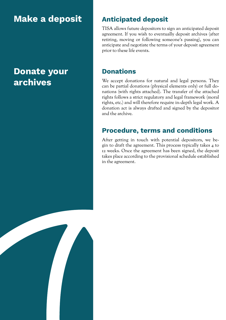# Make a deposit

## Donate your archives

## Anticipated deposit

TISA allows future depositors to sign an anticipated deposit agreement. If you wish to eventually deposit archives (after retiring, moving or following someone's passing), you can anticipate and negotiate the terms of your deposit agreement prior to these life events.

#### **Donations**

We accept donations for natural and legal persons. They can be partial donations (physical elements only) or full donations (with rights attached). The transfer of the attached rights follows a strict regulatory and legal framework (moral rights, etc.) and will therefore require in-depth legal work. A donation act is always drafted and signed by the depositor and the archive.

### Procedure, terms and conditions

After getting in touch with potential depositors, we begin to draft the agreement. This process typically takes 4 to 12 weeks. Once the agreement has been signed, the deposit takes place according to the provisional schedule established in the agreement.